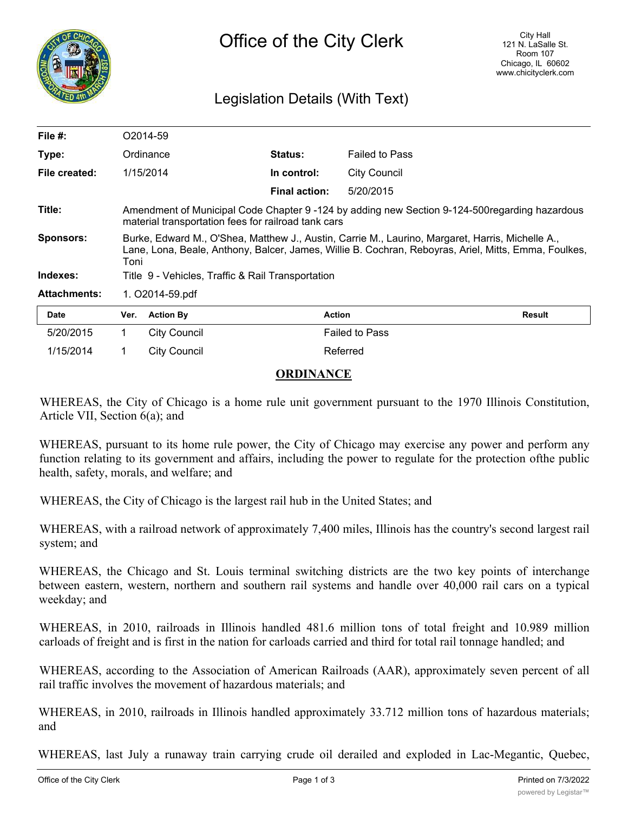

# Legislation Details (With Text)

| File $#$ :          |                                                                                                                                                                                                                  | O <sub>2014-59</sub> |                      |                       |        |
|---------------------|------------------------------------------------------------------------------------------------------------------------------------------------------------------------------------------------------------------|----------------------|----------------------|-----------------------|--------|
| Type:               |                                                                                                                                                                                                                  | Ordinance            | <b>Status:</b>       | <b>Failed to Pass</b> |        |
| File created:       | 1/15/2014                                                                                                                                                                                                        |                      | In control:          | <b>City Council</b>   |        |
|                     |                                                                                                                                                                                                                  |                      | <b>Final action:</b> | 5/20/2015             |        |
| Title:              | Amendment of Municipal Code Chapter 9 -124 by adding new Section 9-124-500 regarding hazardous<br>material transportation fees for railroad tank cars                                                            |                      |                      |                       |        |
| Sponsors:           | Burke, Edward M., O'Shea, Matthew J., Austin, Carrie M., Laurino, Margaret, Harris, Michelle A.,<br>Lane, Lona, Beale, Anthony, Balcer, James, Willie B. Cochran, Reboyras, Ariel, Mitts, Emma, Foulkes,<br>Toni |                      |                      |                       |        |
| Indexes:            | Title 9 - Vehicles, Traffic & Rail Transportation                                                                                                                                                                |                      |                      |                       |        |
| <b>Attachments:</b> | 1. O2014-59.pdf                                                                                                                                                                                                  |                      |                      |                       |        |
| <b>Date</b>         | Ver.                                                                                                                                                                                                             | <b>Action By</b>     | <b>Action</b>        |                       | Result |
| 5/20/2015           | 1.                                                                                                                                                                                                               | <b>City Council</b>  |                      | <b>Failed to Pass</b> |        |
| 1/15/2014           |                                                                                                                                                                                                                  | <b>City Council</b>  |                      | Referred              |        |

## **ORDINANCE**

WHEREAS, the City of Chicago is a home rule unit government pursuant to the 1970 Illinois Constitution, Article VII, Section 6(a); and

WHEREAS, pursuant to its home rule power, the City of Chicago may exercise any power and perform any function relating to its government and affairs, including the power to regulate for the protection ofthe public health, safety, morals, and welfare; and

WHEREAS, the City of Chicago is the largest rail hub in the United States; and

WHEREAS, with a railroad network of approximately 7,400 miles, Illinois has the country's second largest rail system; and

WHEREAS, the Chicago and St. Louis terminal switching districts are the two key points of interchange between eastern, western, northern and southern rail systems and handle over 40,000 rail cars on a typical weekday; and

WHEREAS, in 2010, railroads in Illinois handled 481.6 million tons of total freight and 10.989 million carloads of freight and is first in the nation for carloads carried and third for total rail tonnage handled; and

WHEREAS, according to the Association of American Railroads (AAR), approximately seven percent of all rail traffic involves the movement of hazardous materials; and

WHEREAS, in 2010, railroads in Illinois handled approximately 33.712 million tons of hazardous materials; and

WHEREAS, last July a runaway train carrying crude oil derailed and exploded in Lac-Megantic, Quebec,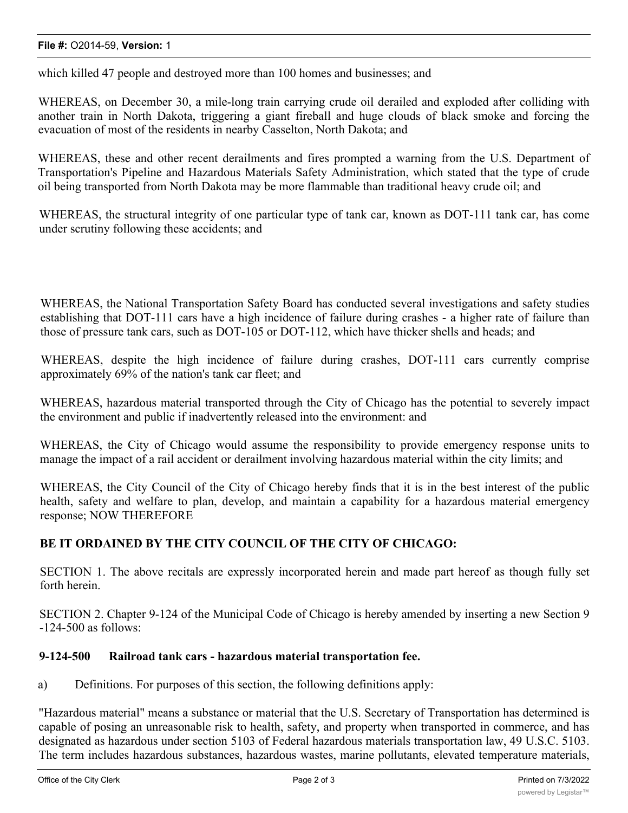#### **File #:** O2014-59, **Version:** 1

which killed 47 people and destroyed more than 100 homes and businesses; and

WHEREAS, on December 30, a mile-long train carrying crude oil derailed and exploded after colliding with another train in North Dakota, triggering a giant fireball and huge clouds of black smoke and forcing the evacuation of most of the residents in nearby Casselton, North Dakota; and

WHEREAS, these and other recent derailments and fires prompted a warning from the U.S. Department of Transportation's Pipeline and Hazardous Materials Safety Administration, which stated that the type of crude oil being transported from North Dakota may be more flammable than traditional heavy crude oil; and

WHEREAS, the structural integrity of one particular type of tank car, known as DOT-111 tank car, has come under scrutiny following these accidents; and

WHEREAS, the National Transportation Safety Board has conducted several investigations and safety studies establishing that DOT-111 cars have a high incidence of failure during crashes - a higher rate of failure than those of pressure tank cars, such as DOT-105 or DOT-112, which have thicker shells and heads; and

WHEREAS, despite the high incidence of failure during crashes, DOT-111 cars currently comprise approximately 69% of the nation's tank car fleet; and

WHEREAS, hazardous material transported through the City of Chicago has the potential to severely impact the environment and public if inadvertently released into the environment: and

WHEREAS, the City of Chicago would assume the responsibility to provide emergency response units to manage the impact of a rail accident or derailment involving hazardous material within the city limits; and

WHEREAS, the City Council of the City of Chicago hereby finds that it is in the best interest of the public health, safety and welfare to plan, develop, and maintain a capability for a hazardous material emergency response; NOW THEREFORE

### **BE IT ORDAINED BY THE CITY COUNCIL OF THE CITY OF CHICAGO:**

SECTION 1. The above recitals are expressly incorporated herein and made part hereof as though fully set forth herein.

SECTION 2. Chapter 9-124 of the Municipal Code of Chicago is hereby amended by inserting a new Section 9 -124-500 as follows:

### **9-124-500 Railroad tank cars - hazardous material transportation fee.**

a) Definitions. For purposes of this section, the following definitions apply:

"Hazardous material" means a substance or material that the U.S. Secretary of Transportation has determined is capable of posing an unreasonable risk to health, safety, and property when transported in commerce, and has designated as hazardous under section 5103 of Federal hazardous materials transportation law, 49 U.S.C. 5103. The term includes hazardous substances, hazardous wastes, marine pollutants, elevated temperature materials,